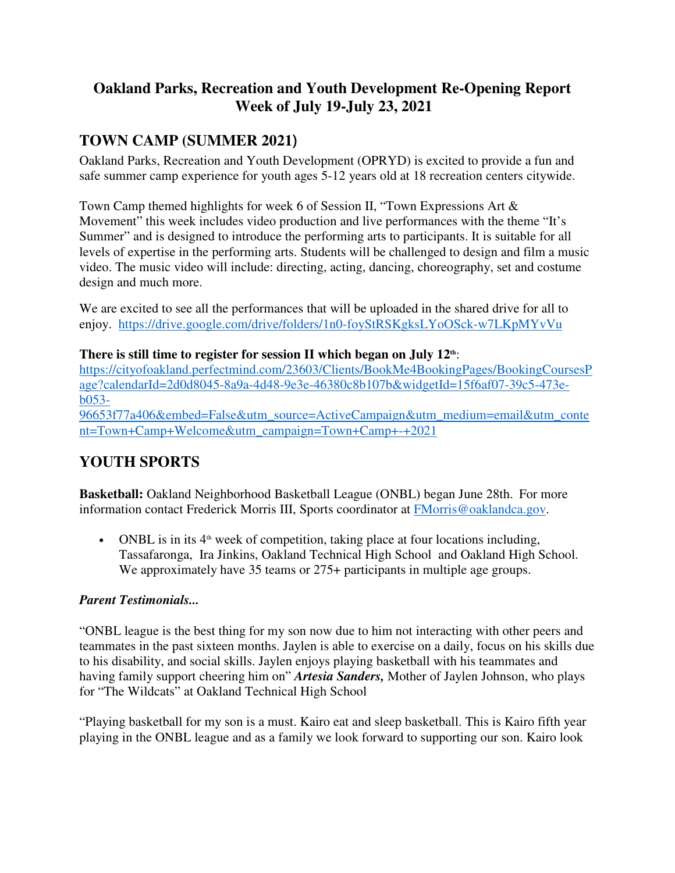## **Oakland Parks, Recreation and Youth Development Re-Opening Report Week of July 19-July 23, 2021**

# **TOWN CAMP (SUMMER 2021**)

Oakland Parks, Recreation and Youth Development (OPRYD) is excited to provide a fun and safe summer camp experience for youth ages 5-12 years old at 18 recreation centers citywide.

Town Camp themed highlights for week 6 of Session II, "Town Expressions Art & Movement" this week includes video production and live performances with the theme "It's Summer" and is designed to introduce the performing arts to participants. It is suitable for all levels of expertise in the performing arts. Students will be challenged to design and film a music video. The music video will include: directing, acting, dancing, choreography, set and costume design and much more.

We are excited to see all the performances that will be uploaded in the shared drive for all to enjoy. https://drive.google.com/drive/folders/1n0-foyStRSKgksLYoOSck-w7LKpMYvVu

**There is still time to register for session II which began on July 12th**:

https://cityofoakland.perfectmind.com/23603/Clients/BookMe4BookingPages/BookingCoursesP age?calendarId=2d0d8045-8a9a-4d48-9e3e-46380c8b107b&widgetId=15f6af07-39c5-473eb053-

96653f77a406&embed=False&utm\_source=ActiveCampaign&utm\_medium=email&utm\_conte nt=Town+Camp+Welcome&utm\_campaign=Town+Camp+-+2021   Ī

# **YOUTH SPORTS**

**Basketball:** Oakland Neighborhood Basketball League (ONBL) began June 28th. For more information contact Frederick Morris III, Sports coordinator at FMorris@oaklandca.gov.

• ONBL is in its  $4<sup>th</sup>$  week of competition, taking place at four locations including, Tassafaronga, Ira Jinkins, Oakland Technical High School and Oakland High School. We approximately have 35 teams or 275+ participants in multiple age groups.

### *Parent Testimonials...*

"ONBL league is the best thing for my son now due to him not interacting with other peers and teammates in the past sixteen months. Jaylen is able to exercise on a daily, focus on his skills due to his disability, and social skills. Jaylen enjoys playing basketball with his teammates and having family support cheering him on" *Artesia Sanders,* Mother of Jaylen Johnson, who plays for "The Wildcats" at Oakland Technical High School

"Playing basketball for my son is a must. Kairo eat and sleep basketball. This is Kairo fifth year playing in the ONBL league and as a family we look forward to supporting our son. Kairo look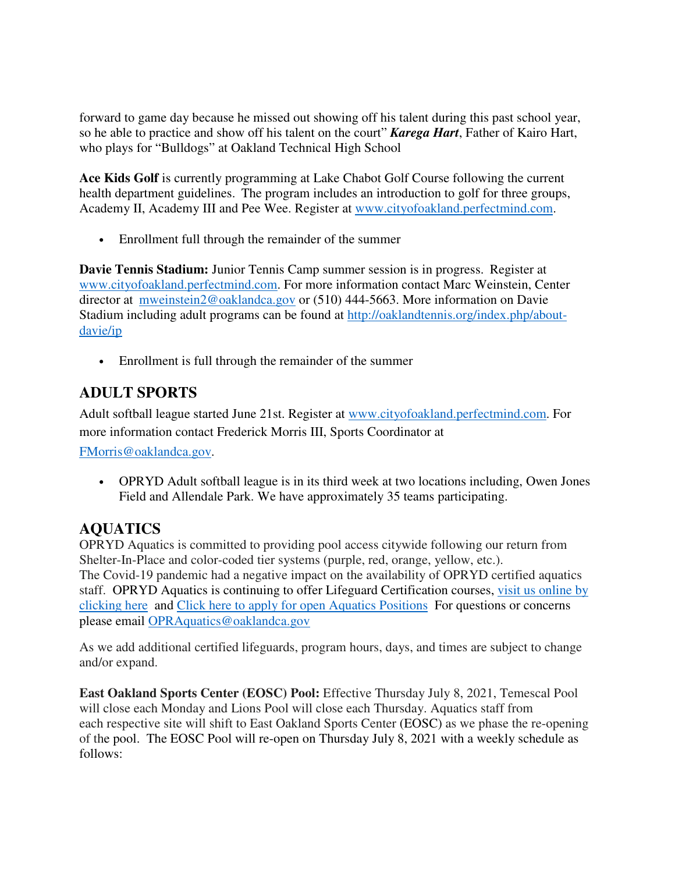forward to game day because he missed out showing off his talent during this past school year, so he able to practice and show off his talent on the court" *Karega Hart*, Father of Kairo Hart, who plays for "Bulldogs" at Oakland Technical High School

**Ace Kids Golf** is currently programming at Lake Chabot Golf Course following the current health department guidelines. The program includes an introduction to golf for three groups, Academy II, Academy III and Pee Wee. Register at www.cityofoakland.perfectmind.com.

• Enrollment full through the remainder of the summer

**Davie Tennis Stadium:** Junior Tennis Camp summer session is in progress. Register at www.cityofoakland.perfectmind.com. For more information contact Marc Weinstein, Center director at mweinstein2@oaklandca.gov or (510) 444-5663. More information on Davie Stadium including adult programs can be found at http://oaklandtennis.org/index.php/aboutdavie/ip

• Enrollment is full through the remainder of the summer

## **ADULT SPORTS**

Adult softball league started June 21st. Register at www.cityofoakland.perfectmind.com. For more information contact Frederick Morris III, Sports Coordinator at

FMorris@oaklandca.gov.    

• OPRYD Adult softball league is in its third week at two locations including, Owen Jones Field and Allendale Park. We have approximately 35 teams participating.

## **AQUATICS**

OPRYD Aquatics is committed to providing pool access citywide following our return from Shelter-In-Place and color-coded tier systems (purple, red, orange, yellow, etc.). The Covid-19 pandemic had a negative impact on the availability of OPRYD certified aquatics staff. OPRYD Aquatics is continuing to offer Lifeguard Certification courses, visit us online by clicking here and Click here to apply for open Aquatics Positions For questions or concerns please email OPRAquatics@oaklandca.gov

As we add additional certified lifeguards, program hours, days, and times are subject to change and/or expand.

**East Oakland Sports Center (EOSC) Pool:** Effective Thursday July 8, 2021, Temescal Pool will close each Monday and Lions Pool will close each Thursday. Aquatics staff from each respective site will shift to East Oakland Sports Center (EOSC) as we phase the re-opening of the pool. The EOSC Pool will re-open on Thursday July 8, 2021 with a weekly schedule as follows: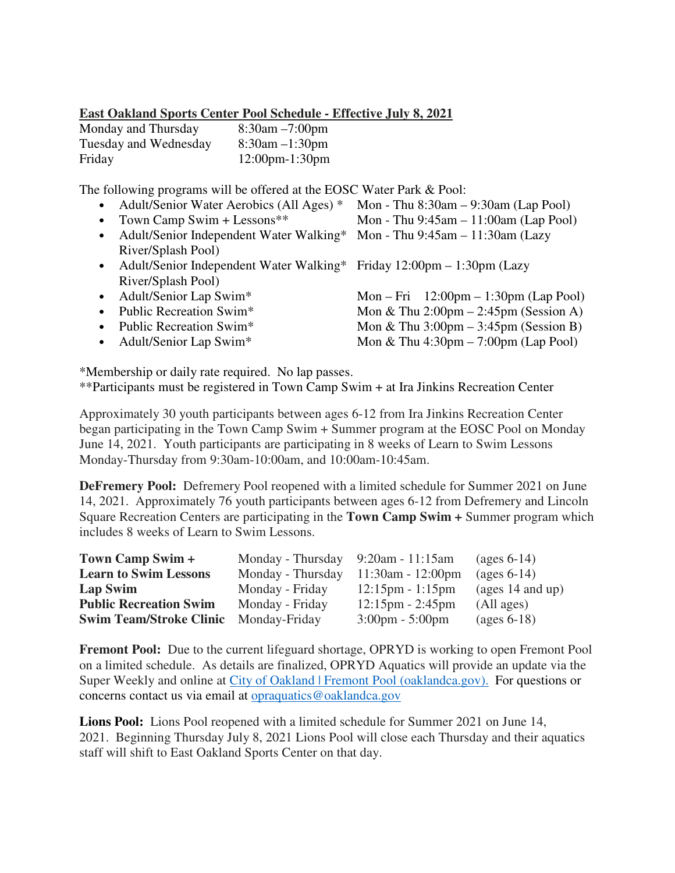#### **East Oakland Sports Center Pool Schedule - Effective July 8, 2021**

| Monday and Thursday   | $8:30$ am $-7:00$ pm  |
|-----------------------|-----------------------|
| Tuesday and Wednesday | $8:30$ am $-1:30$ pm  |
| Friday                | $12:00$ pm- $1:30$ pm |

The following programs will be offered at the EOSC Water Park & Pool:

|           | • Adult/Senior Water Aerobics (All Ages) *                              | Mon - Thu $8:30am - 9:30am$ (Lap Pool)                  |  |  |
|-----------|-------------------------------------------------------------------------|---------------------------------------------------------|--|--|
| $\bullet$ | Town Camp Swim + Lessons**                                              | Mon - Thu $9:45am - 11:00am$ (Lap Pool)                 |  |  |
| $\bullet$ | Adult/Senior Independent Water Walking*                                 | Mon - Thu $9:45am - 11:30am$ (Lazy                      |  |  |
|           | River/Splash Pool)                                                      |                                                         |  |  |
|           | • Adult/Senior Independent Water Walking* Friday 12:00pm – 1:30pm (Lazy |                                                         |  |  |
|           | River/Splash Pool)                                                      |                                                         |  |  |
| $\bullet$ | Adult/Senior Lap Swim*                                                  | Mon – Fri $12:00 \text{pm} - 1:30 \text{pm}$ (Lap Pool) |  |  |
| $\bullet$ | Public Recreation Swim*                                                 | Mon & Thu $2:00 \text{pm} - 2:45 \text{pm}$ (Session A) |  |  |
| $\bullet$ | Public Recreation Swim*                                                 | Mon & Thu $3:00 \text{pm} - 3:45 \text{pm}$ (Session B) |  |  |
|           | • Adult/Senior Lap Swim*                                                | Mon & Thu $4:30 \text{pm} - 7:00 \text{pm}$ (Lap Pool)  |  |  |
|           |                                                                         |                                                         |  |  |
|           |                                                                         |                                                         |  |  |

\*Membership or daily rate required. No lap passes. \*\*Participants must be registered in Town Camp Swim + at Ira Jinkins Recreation Center

Approximately 30 youth participants between ages 6-12 from Ira Jinkins Recreation Center began participating in the Town Camp Swim + Summer program at the EOSC Pool on Monday June 14, 2021. Youth participants are participating in 8 weeks of Learn to Swim Lessons Monday-Thursday from 9:30am-10:00am, and 10:00am-10:45am.

**DeFremery Pool:** Defremery Pool reopened with a limited schedule for Summer 2021 on June 14, 2021. Approximately 76 youth participants between ages 6-12 from Defremery and Lincoln Square Recreation Centers are participating in the **Town Camp Swim +** Summer program which includes 8 weeks of Learn to Swim Lessons.

| Town Camp Swim +               | Monday - Thursday $9:20$ am - 11:15am |                                    | $\left(\text{ages } 6-14\right)$ |
|--------------------------------|---------------------------------------|------------------------------------|----------------------------------|
| <b>Learn to Swim Lessons</b>   | Monday - Thursday                     | $11:30$ am - 12:00pm               | $\left(\text{ages } 6-14\right)$ |
| Lap Swim                       | Monday - Friday                       | $12:15 \text{pm} - 1:15 \text{pm}$ | (ages $14$ and up)               |
| <b>Public Recreation Swim</b>  | Monday - Friday                       | $12:15 \text{pm} - 2:45 \text{pm}$ | (All ages)                       |
| <b>Swim Team/Stroke Clinic</b> | Monday-Friday                         | $3:00 \text{pm} - 5:00 \text{pm}$  | $\left(\text{ages } 6-18\right)$ |

**Fremont Pool:** Due to the current lifeguard shortage, OPRYD is working to open Fremont Pool on a limited schedule. As details are finalized, OPRYD Aquatics will provide an update via the Super Weekly and online at City of Oakland | Fremont Pool (oaklandca.gov). For questions or concerns contact us via email at opraquatics@oaklandca.gov

**Lions Pool:** Lions Pool reopened with a limited schedule for Summer 2021 on June 14, 2021. Beginning Thursday July 8, 2021 Lions Pool will close each Thursday and their aquatics staff will shift to East Oakland Sports Center on that day.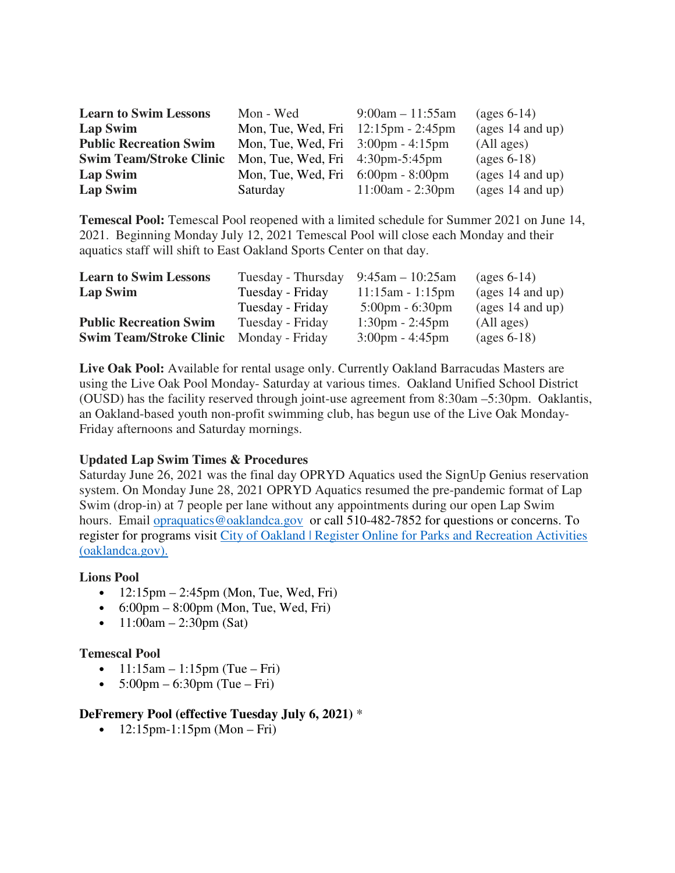| <b>Learn to Swim Lessons</b><br>Mon - Wed |                                                         | $9:00am - 11:55am$ | $\left(\text{ages } 6-14\right)$ |  |
|-------------------------------------------|---------------------------------------------------------|--------------------|----------------------------------|--|
| <b>Lap Swim</b>                           | Mon, Tue, Wed, Fri $12:15 \text{pm}$ - 2:45 $\text{pm}$ |                    | (ages $14$ and up)               |  |
| <b>Public Recreation Swim</b>             | Mon, Tue, Wed, Fri $3:00 \text{pm} - 4:15 \text{pm}$    |                    | (All ages)                       |  |
| <b>Swim Team/Stroke Clinic</b>            | Mon, Tue, Wed, Fri $4:30 \text{pm}-5:45 \text{pm}$      |                    | $\left(\right)$ (ages 6-18)      |  |
| Lap Swim                                  | Mon, Tue, Wed, Fri $6:00 \text{pm} - 8:00 \text{pm}$    |                    | (ages $14$ and up)               |  |
| Lap Swim                                  | Saturday                                                | $11:00am - 2:30pm$ | (ages $14$ and up)               |  |

**Temescal Pool:** Temescal Pool reopened with a limited schedule for Summer 2021 on June 14, 2021. Beginning Monday July 12, 2021 Temescal Pool will close each Monday and their aquatics staff will shift to East Oakland Sports Center on that day.

| <b>Learn to Swim Lessons</b>   | Tuesday - Thursday | $9:45$ am $-10:25$ am             | $\left(\text{ages } 6-14\right)$ |
|--------------------------------|--------------------|-----------------------------------|----------------------------------|
| Lap Swim                       | Tuesday - Friday   | $11:15am - 1:15pm$                | (ages $14$ and up)               |
|                                | Tuesday - Friday   | $5:00 \text{pm} - 6:30 \text{pm}$ | (ages $14$ and up)               |
| <b>Public Recreation Swim</b>  | Tuesday - Friday   | $1:30 \text{pm} - 2:45 \text{pm}$ | (All ages)                       |
| <b>Swim Team/Stroke Clinic</b> | Monday - Friday    | $3:00 \text{pm} - 4:45 \text{pm}$ | $\left(\text{ages } 6-18\right)$ |

**Live Oak Pool:** Available for rental usage only. Currently Oakland Barracudas Masters are using the Live Oak Pool Monday- Saturday at various times. Oakland Unified School District (OUSD) has the facility reserved through joint-use agreement from 8:30am –5:30pm. Oaklantis, an Oakland-based youth non-profit swimming club, has begun use of the Live Oak Monday-Friday afternoons and Saturday mornings.

#### **Updated Lap Swim Times & Procedures**

Saturday June 26, 2021 was the final day OPRYD Aquatics used the SignUp Genius reservation system. On Monday June 28, 2021 OPRYD Aquatics resumed the pre-pandemic format of Lap Swim (drop-in) at 7 people per lane without any appointments during our open Lap Swim hours. Email opraquatics@oaklandca.gov or call 510-482-7852 for questions or concerns. To register for programs visit City of Oakland | Register Online for Parks and Recreation Activities (oaklandca.gov).

#### **Lions Pool**

- $12:15 \text{pm} 2:45 \text{pm}$  (Mon, Tue, Wed, Fri)
- $\bullet$  6:00pm 8:00pm (Mon, Tue, Wed, Fri)
- $11:00$ am 2:30pm (Sat)

#### **Temescal Pool**

- $11:15$ am  $1:15$ pm (Tue Fri)
- $5:00 \text{pm} 6:30 \text{pm}$  (Tue Fri)

#### **DeFremery Pool (effective Tuesday July 6, 2021)** \*

•  $12:15 \text{pm} - 1:15 \text{pm}$  (Mon – Fri)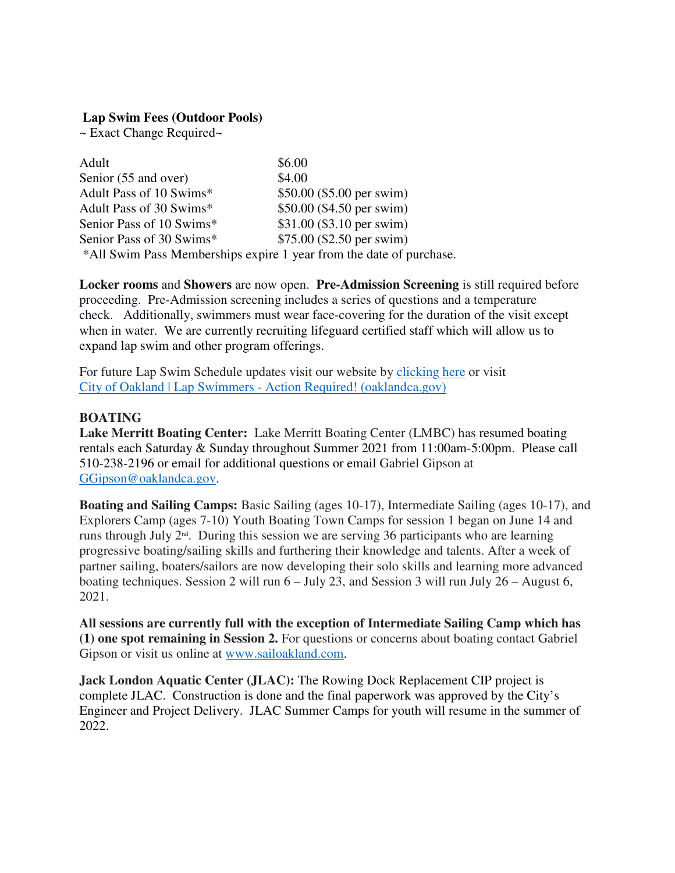#### **Lap Swim Fees (Outdoor Pools)**

~ Exact Change Required~

| Adult                                                               | \$6.00                     |
|---------------------------------------------------------------------|----------------------------|
| Senior (55 and over)                                                | \$4.00                     |
| Adult Pass of 10 Swims*                                             | $$50.00$ (\$5.00 per swim) |
| Adult Pass of 30 Swims*                                             | \$50.00 (\$4.50 per swim)  |
| Senior Pass of 10 Swims*                                            | \$31.00 (\$3.10 per swim)  |
| Senior Pass of 30 Swims*                                            | $$75.00$ (\$2.50 per swim) |
| *All Swim Pass Memberships expire 1 year from the date of purchase. |                            |

**Locker rooms** and **Showers** are now open. **Pre-Admission Screening** is still required before proceeding. Pre-Admission screening includes a series of questions and a temperature check. Additionally, swimmers must wear face-covering for the duration of the visit except when in water. We are currently recruiting lifeguard certified staff which will allow us to expand lap swim and other program offerings.

For future Lap Swim Schedule updates visit our website by clicking here or visit City of Oakland | Lap Swimmers - Action Required! (oaklandca.gov)

#### **BOATING**

**Lake Merritt Boating Center:** Lake Merritt Boating Center (LMBC) has resumed boating rentals each Saturday & Sunday throughout Summer 2021 from 11:00am-5:00pm. Please call 510-238-2196 or email for additional questions or email Gabriel Gipson at GGipson@oaklandca.gov.

**Boating and Sailing Camps:** Basic Sailing (ages 10-17), Intermediate Sailing (ages 10-17), and Explorers Camp (ages 7-10) Youth Boating Town Camps for session 1 began on June 14 and runs through July 2nd. During this session we are serving 36 participants who are learning progressive boating/sailing skills and furthering their knowledge and talents. After a week of partner sailing, boaters/sailors are now developing their solo skills and learning more advanced boating techniques. Session 2 will run 6 – July 23, and Session 3 will run July 26 – August 6, 2021.

**All sessions are currently full with the exception of Intermediate Sailing Camp which has (1) one spot remaining in Session 2.** For questions or concerns about boating contact Gabriel Gipson or visit us online at www.sailoakland.com.

**Jack London Aquatic Center (JLAC):** The Rowing Dock Replacement CIP project is complete JLAC. Construction is done and the final paperwork was approved by the City's Engineer and Project Delivery. JLAC Summer Camps for youth will resume in the summer of 2022.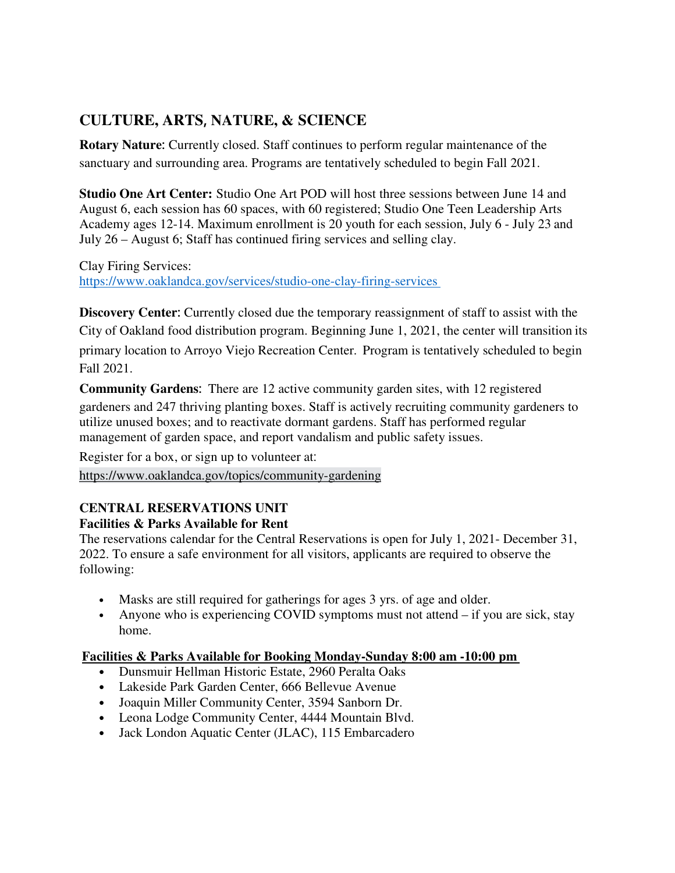# **CULTURE, ARTS**, **NATURE, & SCIENCE**

**Rotary Nature**: Currently closed. Staff continues to perform regular maintenance of the sanctuary and surrounding area. Programs are tentatively scheduled to begin Fall 2021.  

**Studio One Art Center:** Studio One Art POD will host three sessions between June 14 and August 6, each session has 60 spaces, with 60 registered; Studio One Teen Leadership Arts Academy ages 12-14. Maximum enrollment is 20 youth for each session, July 6 - July 23 and July 26 – August 6; Staff has continued firing services and selling clay.  

Clay Firing Services:   https://www.oaklandca.gov/services/studio-one-clay-firing-services   

**Discovery Center**: Currently closed due the temporary reassignment of staff to assist with the City of Oakland food distribution program. Beginning June 1, 2021, the center will transition its primary location to Arroyo Viejo Recreation Center. Program is tentatively scheduled to begin Fall 2021.  

**Community Gardens**: There are 12 active community garden sites, with 12 registered gardeners and 247 thriving planting boxes. Staff is actively recruiting community gardeners to utilize unused boxes; and to reactivate dormant gardens. Staff has performed regular management of garden space, and report vandalism and public safety issues.   

Register for a box, or sign up to volunteer at:   https://www.oaklandca.gov/topics/community-gardening  

## **CENTRAL RESERVATIONS UNIT**

Ξ

### **Facilities & Parks Available for Rent**

The reservations calendar for the Central Reservations is open for July 1, 2021- December 31, 2022. To ensure a safe environment for all visitors, applicants are required to observe the following:  

- Masks are still required for gatherings for ages 3 yrs. of age and older.
- Anyone who is experiencing COVID symptoms must not attend if you are sick, stay home.

### **Facilities & Parks Available for Booking Monday-Sunday 8:00 am -10:00 pm**

- Dunsmuir Hellman Historic Estate, 2960 Peralta Oaks
- Lakeside Park Garden Center, 666 Bellevue Avenue
- Joaquin Miller Community Center, 3594 Sanborn Dr.
- Leona Lodge Community Center, 4444 Mountain Blvd.
- Jack London Aquatic Center (JLAC), 115 Embarcadero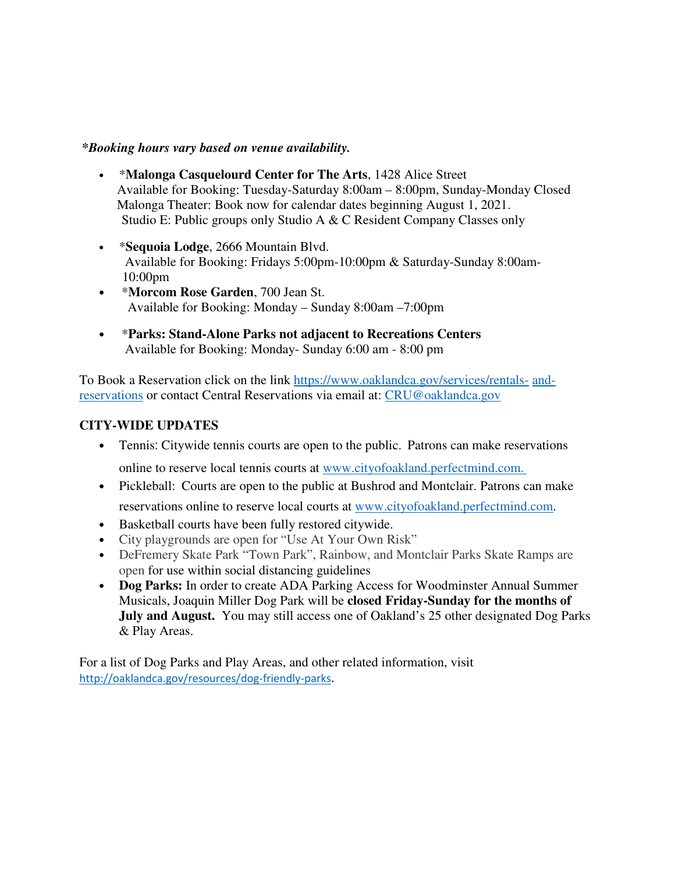#### *\*Booking hours vary based on venue availability.*

- \***Malonga Casquelourd Center for The Arts**, 1428 Alice Street                 Available for Booking: Tuesday-Saturday 8:00am – 8:00pm, Sunday-Monday Closed                 Malonga Theater: Book now for calendar dates beginning August 1, 2021.   Studio E: Public groups only Studio A & C Resident Company Classes only
- \***Sequoia Lodge**, 2666 Mountain Blvd.    Available for Booking: Fridays 5:00pm-10:00pm & Saturday-Sunday 8:00am- 10:00pm
- \***Morcom Rose Garden**, 700 Jean St.      Available for Booking: Monday – Sunday 8:00am –7:00pm
- \***Parks: Stand-Alone Parks not adjacent to Recreations Centers**   Available for Booking: Monday- Sunday 6:00 am - 8:00 pm

To Book a Reservation click on the link https://www.oaklandca.gov/services/rentals- andreservations or contact Central Reservations via email at: CRU@oaklandca.gov

#### **CITY-WIDE UPDATES**

• Tennis: Citywide tennis courts are open to the public. Patrons can make reservations

online to reserve local tennis courts at www.cityofoakland.perfectmind.com.

- Pickleball: Courts are open to the public at Bushrod and Montclair. Patrons can make reservations online to reserve local courts at www.cityofoakland.perfectmind.com.
- Basketball courts have been fully restored citywide.
- City playgrounds are open for "Use At Your Own Risk"
- DeFremery Skate Park "Town Park", Rainbow, and Montclair Parks Skate Ramps are open for use within social distancing guidelines
- **Dog Parks:** In order to create ADA Parking Access for Woodminster Annual Summer Musicals, Joaquin Miller Dog Park will be **closed Friday-Sunday for the months of July and August.** You may still access one of Oakland's 25 other designated Dog Parks & Play Areas.

For a list of Dog Parks and Play Areas, and other related information, visit http://oaklandca.gov/resources/dog-friendly-parks.